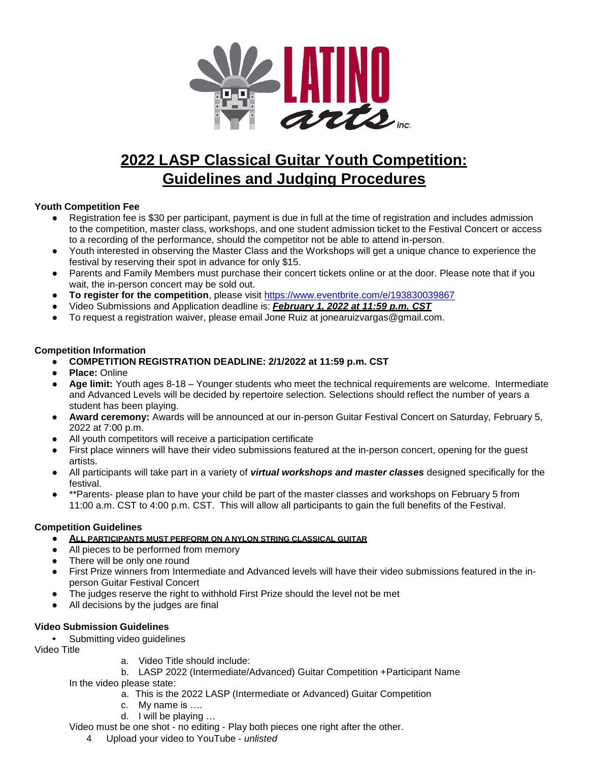

# **2022 LASP Classical Guitar Youth Competition: Guidelines and Judging Procedures**

## **Youth Competition Fee**

- Registration fee is \$30 per participant, payment is due in full at the time of registration and includes admission to the competition, master class, workshops, and one student admission ticket to the Festival Concert or access to a recording of the performance, should the competitor not be able to attend in-person.
- Youth interested in observing the Master Class and the Workshops will get a unique chance to experience the festival by reserving their spot in advance for only \$15.
- Parents and Family Members must purchase their concert tickets online or at the door. Please note that if you wait, the in-person concert may be sold out.
- **To register for the competition**, please visit<https://www.eventbrite.com/e/193830039867>
- Video Submissions and Application deadline is: *February 1, 2022 at 11:59 p.m. CST*
- To request a registration waiver, please email Jone Ruiz at [jonearuizvargas@gmail.com.](mailto:jonearuizvargas@gmail.com)

## **Competition Information**

## ● **COMPETITION REGISTRATION DEADLINE: 2/1/2022 at 11:59 p.m. CST**

- **Place:** Online
- **Age limit:** Youth ages 8-18 Younger students who meet the technical requirements are welcome. Intermediate and Advanced Levels will be decided by repertoire selection. Selections should reflect the number of years a student has been playing.
- **Award ceremony:** Awards will be announced at our in-person Guitar Festival Concert on Saturday, February 5, 2022 at 7:00 p.m.
- All youth competitors will receive a participation certificate
- First place winners will have their video submissions featured at the in-person concert, opening for the quest artists.
- All participants will take part in a variety of *virtual workshops and master classes* designed specifically for the festival.
- \*\*Parents- please plan to have your child be part of the master classes and workshops on February 5 from 11:00 a.m. CST to 4:00 p.m. CST. This will allow all participants to gain the full benefits of the Festival.

## **Competition Guidelines**

- **ALL PARTICIPANTS MUST PERFORM ON A NYLON STRING CLASSICAL GUITAR**
- All pieces to be performed from memory
- There will be only one round
- First Prize winners from Intermediate and Advanced levels will have their video submissions featured in the inperson Guitar Festival Concert
- The judges reserve the right to withhold First Prize should the level not be met
- All decisions by the judges are final

# **Video Submission Guidelines**

Submitting video guidelines

Video Title

- a. Video Title should include:
- b. LASP 2022 (Intermediate/Advanced) Guitar Competition +Participant Name In the video please state:
	- a. This is the 2022 LASP (Intermediate or Advanced) Guitar Competition
	- c. My name is ….
	- d. I will be playing …
- Video must be one shot no editing Play both pieces one right after the other.
	- 4 Upload your video to YouTube *unlisted*